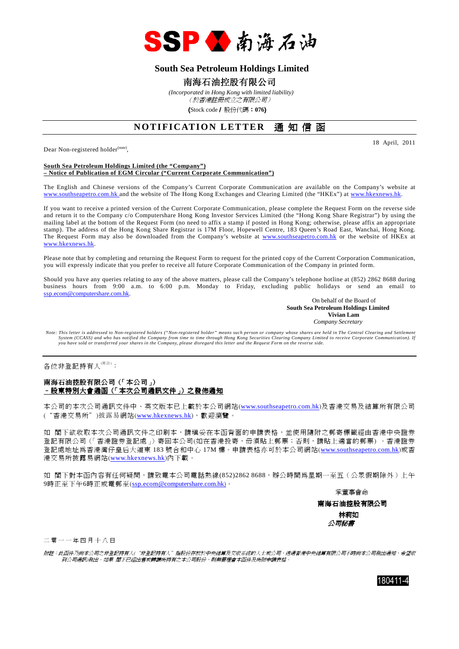

## **South Sea Petroleum Holdings Limited**

### 南海石油控股有限公司

 *(Incorporated in Hong Kong with limited liability)* (於香港註冊成立之有限公司)

(Stock code/ 股份代碼:**076**)

# **NOTIFICATION LETTER** 通知信函

Dear Non-registered holder<sup>(note)</sup>,

18 April, 2011

#### **South Sea Petroleum Holdings Limited (the "Company") – Notice of Publication of EGM Circular ("Current Corporate Communication")**

The English and Chinese versions of the Company's Current Corporate Communication are available on the Company's website at www.southseapetro.com.hk and the website of The Hong Kong Exchanges and Clearing Limited (the "HKEx") at www.hkexnews.hk.

If you want to receive a printed version of the Current Corporate Communication, please complete the Request Form on the reverse side and return it to the Company c/o Computershare Hong Kong Investor Services Limited (the "Hong Kong Share Registrar") by using the mailing label at the bottom of the Request Form (no need to affix a stamp if posted in Hong Kong; otherwise, please affix an appropriate stamp). The address of the Hong Kong Share Registrar is 17M Floor, Hopewell Centre, 183 Queen's Road East, Wanchai, Hong Kong. The Request Form may also be downloaded from the Company's website at www.southseapetro.com.hk or the website of HKEx at www.hkexnews.hk.

Please note that by completing and returning the Request Form to request for the printed copy of the Current Corporation Communication, you will expressly indicate that you prefer to receive all future Corporate Communication of the Company in printed form.

Should you have any queries relating to any of the above matters, please call the Company's telephone hotline at (852) 2862 8688 during business hours from 9:00 a.m. to 6:00 p.m. Monday to Friday, excluding public holidays or send an email to ssp.ecom@computershare.com.hk.

On behalf of the Board of  **South Sea Petroleum Holdings Limited Vivian Lam**  *Company Secretary* 

*Note: This letter is addressed to Non-registered holders ("Non-registered holder" means such person or company whose shares are held in The Central Clearing and Settlement System (CCASS) and who has notified the Company from time to time through Hong Kong Securities Clearing Company Limited to receive Corporate Communication). If you have sold or transferred your shares in the Company, please disregard this letter and the Request Form on the reverse side.* 

各位非登記持有人<sup>(附註)</sup>:

#### 南海石油控股有限公司(「本公司」) –股東特別大會通函(「本次公司通訊文件」)之發佈通知

本公司的本次公司通訊文件中、英文版本已上載於本公司網站(www.southseapetro.com.hk)及香港交易及結算所有限公司 ("香港交易所")披露易網站(www.hkexnews.hk),歡迎瀏覽。

如 閣下欲收取本次公司通訊文件之印刷本,請填妥在本函背面的申請表格,並使用隨附之郵寄標籤經由香港中央證券 登記有限公司(「香港證券登記處」)寄回本公司(如在香港投寄,毋須貼上郵票;否則,請貼上適當的郵票) 。香港證券 登記處地址為香港灣仔皇后大道東 183 號合和中心 17M 樓。申請表格亦可於本公司網站(www.southseapetro.com.hk)或香 港交易所披露易網站(www.hkexnews.hk)內下載。

如 閣下對本函內容有任何疑問,請致電本公司電話熱線(852)2862 8688,辦公時間為星期一至五(公眾假期除外)上午 9時正至下午6時正或電郵至(ssp.ecom@computershare.com.hk)。

承董事會命

南海石油控股有限公司 林莉如 公司秘書

二 零 一 一 年 四 月 十 八 日

附註:此函件乃向本公司之非登記持有人("非登記持有人"指股份存放於中央結算及交收系統的人士或公司,透過香港中央結算有限公司不時向本公司發出通知,希望收 到公司通訊)發出。如果 閣下已經出售或轉讓所持有之本公司股份,則無需理會本函件及所附申請表格。